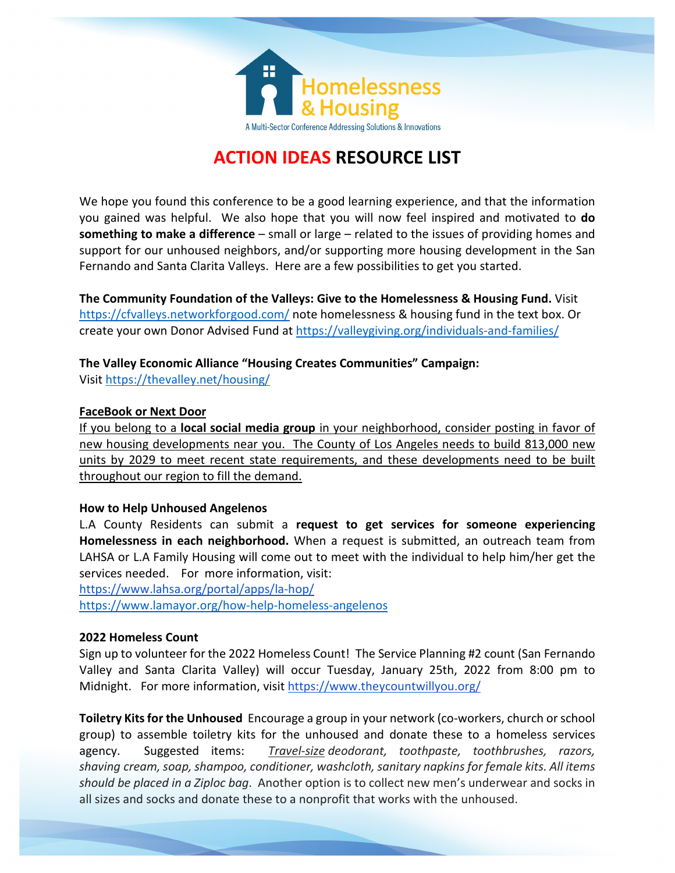

# **ACTION IDEAS RESOURCE LIST**

We hope you found this conference to be a good learning experience, and that the information you gained was helpful. We also hope that you will now feel inspired and motivated to **do something to make a difference** – small or large – related to the issues of providing homes and support for our unhoused neighbors, and/or supporting more housing development in the San Fernando and Santa Clarita Valleys. Here are a few possibilities to get you started.

**The Community Foundation of the Valleys: Give to the Homelessness & Housing Fund.** Visit <https://cfvalleys.networkforgood.com/> note homelessness & housing fund in the text box. Or create your own Donor Advised Fund at<https://valleygiving.org/individuals-and-families/>

## **The Valley Economic Alliance "Housing Creates Communities" Campaign:**

Visi[t https://thevalley.net/housing/](https://thevalley.net/housing/)

### **FaceBook or Next Door**

If you belong to a **local social media group** in your neighborhood, consider posting in favor of new housing developments near you. The County of Los Angeles needs to build 813,000 new units by 2029 to meet recent state requirements, and these developments need to be built throughout our region to fill the demand.

#### **How to Help Unhoused Angelenos**

L.A County Residents can submit a **request to get services for someone experiencing Homelessness in each neighborhood.** When a request is submitted, an outreach team from LAHSA or L.A Family Housing will come out to meet with the individual to help him/her get the services needed. For more information, visit:

<https://www.lahsa.org/portal/apps/la-hop/> <https://www.lamayor.org/how-help-homeless-angelenos>

## **2022 Homeless Count**

Sign up to volunteer for the 2022 Homeless Count! The Service Planning #2 count (San Fernando Valley and Santa Clarita Valley) will occur Tuesday, January 25th, 2022 from 8:00 pm to Midnight. For more information, visit<https://www.theycountwillyou.org/>

**Toiletry Kits for the Unhoused** Encourage a group in your network (co-workers, church or school group) to assemble toiletry kits for the unhoused and donate these to a homeless services agency. Suggested items: *Travel-size deodorant, toothpaste, toothbrushes, razors, shaving cream, soap, shampoo, conditioner, washcloth, sanitary napkins for female kits. All items should be placed in a Ziploc bag*. Another option is to collect new men's underwear and socks in all sizes and socks and donate these to a nonprofit that works with the unhoused.